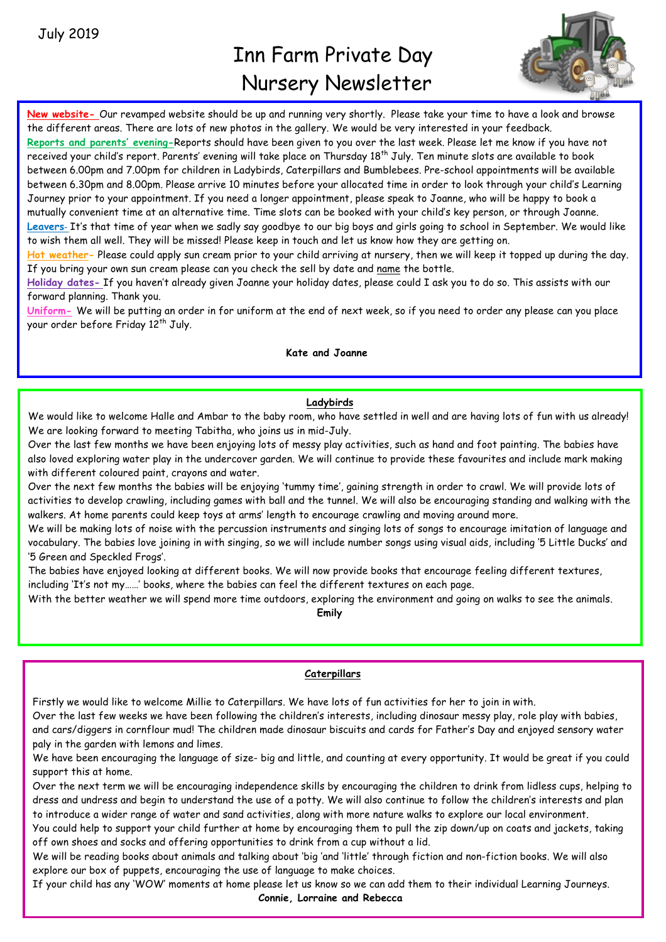# Inn Farm Private Day Nursery Newsletter



**New website-** Our revamped website should be up and running very shortly. Please take your time to have a look and browse the different areas. There are lots of new photos in the gallery. We would be very interested in your feedback.

**Reports and parents' evening-**Reports should have been given to you over the last week. Please let me know if you have not received your child's report. Parents' evening will take place on Thursday  $18^{th}$  July. Ten minute slots are available to book between 6.00pm and 7.00pm for children in Ladybirds, Caterpillars and Bumblebees. Pre-school appointments will be available between 6.30pm and 8.00pm. Please arrive 10 minutes before your allocated time in order to look through your child's Learning Journey prior to your appointment. If you need a longer appointment, please speak to Joanne, who will be happy to book a mutually convenient time at an alternative time. Time slots can be booked with your child's key person, or through Joanne. **Leavers**- It's that time of year when we sadly say goodbye to our big boys and girls going to school in September. We would like to wish them all well. They will be missed! Please keep in touch and let us know how they are getting on.

**Hot weather-** Please could apply sun cream prior to your child arriving at nursery, then we will keep it topped up during the day. If you bring your own sun cream please can you check the sell by date and name the bottle.

**Holiday dates-** If you haven't already given Joanne your holiday dates, please could I ask you to do so. This assists with our forward planning. Thank you.

**Uniform-** We will be putting an order in for uniform at the end of next week, so if you need to order any please can you place your order before Friday 12<sup>th</sup> July.

## **Kate and Joanne**

# **Ladybirds**

We would like to welcome Halle and Ambar to the baby room, who have settled in well and are having lots of fun with us already! We are looking forward to meeting Tabitha, who joins us in mid-July.

Over the last few months we have been enjoying lots of messy play activities, such as hand and foot painting. The babies have also loved exploring water play in the undercover garden. We will continue to provide these favourites and include mark making with different coloured paint, crayons and water.

Over the next few months the babies will be enjoying 'tummy time', gaining strength in order to crawl. We will provide lots of activities to develop crawling, including games with ball and the tunnel. We will also be encouraging standing and walking with the walkers. At home parents could keep toys at arms' length to encourage crawling and moving around more.

We will be making lots of noise with the percussion instruments and singing lots of songs to encourage imitation of language and vocabulary. The babies love joining in with singing, so we will include number songs using visual aids, including '5 Little Ducks' and '5 Green and Speckled Frogs'.

The babies have enjoyed looking at different books. We will now provide books that encourage feeling different textures, including 'It's not my……' books, where the babies can feel the different textures on each page.

With the better weather we will spend more time outdoors, exploring the environment and going on walks to see the animals.

**Emily**

# **Caterpillars**

Firstly we would like to welcome Millie to Caterpillars. We have lots of fun activities for her to join in with.

Over the last few weeks we have been following the children's interests, including dinosaur messy play, role play with babies, and cars/diggers in cornflour mud! The children made dinosaur biscuits and cards for Father's Day and enjoyed sensory water paly in the garden with lemons and limes.

We have been encouraging the language of size- big and little, and counting at every opportunity. It would be great if you could support this at home.

Over the next term we will be encouraging independence skills by encouraging the children to drink from lidless cups, helping to dress and undress and begin to understand the use of a potty. We will also continue to follow the children's interests and plan to introduce a wider range of water and sand activities, along with more nature walks to explore our local environment.

You could help to support your child further at home by encouraging them to pull the zip down/up on coats and jackets, taking off own shoes and socks and offering opportunities to drink from a cup without a lid.

We will be reading books about animals and talking about 'big 'and 'little' through fiction and non-fiction books. We will also explore our box of puppets, encouraging the use of language to make choices.

If your child has any 'WOW' moments at home please let us know so we can add them to their individual Learning Journeys.

**Connie, Lorraine and Rebecca**